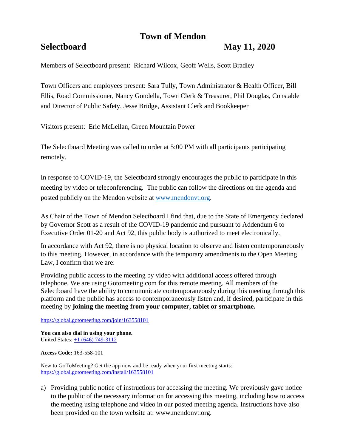# **Town of Mendon**

## **Selectboard May 11, 2020**

Members of Selectboard present: Richard Wilcox, Geoff Wells, Scott Bradley

Town Officers and employees present: Sara Tully, Town Administrator & Health Officer, Bill Ellis, Road Commissioner, Nancy Gondella, Town Clerk & Treasurer, Phil Douglas, Constable and Director of Public Safety, Jesse Bridge, Assistant Clerk and Bookkeeper

Visitors present: Eric McLellan, Green Mountain Power

The Selectboard Meeting was called to order at 5:00 PM with all participants participating remotely.

In response to COVID-19, the Selectboard strongly encourages the public to participate in this meeting by video or teleconferencing. The public can follow the directions on the agenda and posted publicly on the Mendon website at [www.mendonvt.org.](http://www.mendonvt.org/)

As Chair of the Town of Mendon Selectboard I find that, due to the State of Emergency declared by Governor Scott as a result of the COVID-19 pandemic and pursuant to Addendum 6 to Executive Order 01-20 and Act 92, this public body is authorized to meet electronically.

In accordance with Act 92, there is no physical location to observe and listen contemporaneously to this meeting. However, in accordance with the temporary amendments to the Open Meeting Law, I confirm that we are:

Providing public access to the meeting by video with additional access offered through telephone. We are using Gotomeeting.com for this remote meeting. All members of the Selectboard have the ability to communicate contemporaneously during this meeting through this platform and the public has access to contemporaneously listen and, if desired, participate in this meeting by **joining the meeting from your computer, tablet or smartphone.** 

<https://global.gotomeeting.com/join/163558101>

**You can also dial in using your phone.**  United States: [+1 \(646\) 749-3112](tel:+16467493112,,163558101)

**Access Code:** 163-558-101

New to GoToMeeting? Get the app now and be ready when your first meeting starts: <https://global.gotomeeting.com/install/163558101>

a) Providing public notice of instructions for accessing the meeting. We previously gave notice to the public of the necessary information for accessing this meeting, including how to access the meeting using telephone and video in our posted meeting agenda. Instructions have also been provided on the town website at: www.mendonvt.org.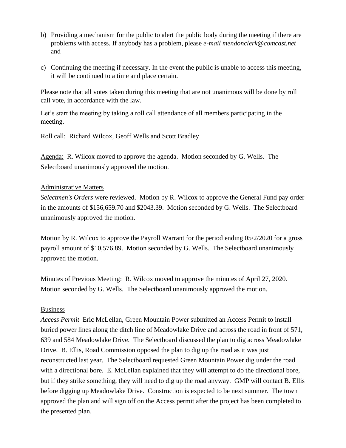- b) Providing a mechanism for the public to alert the public body during the meeting if there are problems with access. If anybody has a problem, please *e-mail mendonclerk@comcast.net* and
- c) Continuing the meeting if necessary. In the event the public is unable to access this meeting, it will be continued to a time and place certain.

Please note that all votes taken during this meeting that are not unanimous will be done by roll call vote, in accordance with the law.

Let's start the meeting by taking a roll call attendance of all members participating in the meeting.

Roll call: Richard Wilcox, Geoff Wells and Scott Bradley

Agenda: R. Wilcox moved to approve the agenda. Motion seconded by G. Wells. The Selectboard unanimously approved the motion.

### Administrative Matters

*Selectmen's Orders* were reviewed. Motion by R. Wilcox to approve the General Fund pay order in the amounts of \$156,659.70 and \$2043.39. Motion seconded by G. Wells. The Selectboard unanimously approved the motion.

Motion by R. Wilcox to approve the Payroll Warrant for the period ending 05/2/2020 for a gross payroll amount of \$10,576.89. Motion seconded by G. Wells. The Selectboard unanimously approved the motion.

Minutes of Previous Meeting: R. Wilcox moved to approve the minutes of April 27, 2020. Motion seconded by G. Wells. The Selectboard unanimously approved the motion.

#### Business

*Access Permit* Eric McLellan, Green Mountain Power submitted an Access Permit to install buried power lines along the ditch line of Meadowlake Drive and across the road in front of 571, 639 and 584 Meadowlake Drive. The Selectboard discussed the plan to dig across Meadowlake Drive. B. Ellis, Road Commission opposed the plan to dig up the road as it was just reconstructed last year. The Selectboard requested Green Mountain Power dig under the road with a directional bore. E. McLellan explained that they will attempt to do the directional bore, but if they strike something, they will need to dig up the road anyway. GMP will contact B. Ellis before digging up Meadowlake Drive. Construction is expected to be next summer. The town approved the plan and will sign off on the Access permit after the project has been completed to the presented plan.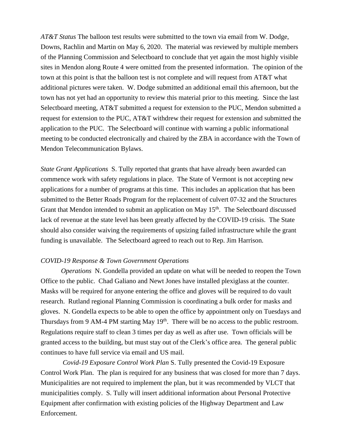*AT&T Status* The balloon test results were submitted to the town via email from W. Dodge, Downs, Rachlin and Martin on May 6, 2020. The material was reviewed by multiple members of the Planning Commission and Selectboard to conclude that yet again the most highly visible sites in Mendon along Route 4 were omitted from the presented information. The opinion of the town at this point is that the balloon test is not complete and will request from AT&T what additional pictures were taken. W. Dodge submitted an additional email this afternoon, but the town has not yet had an opportunity to review this material prior to this meeting. Since the last Selectboard meeting, AT&T submitted a request for extension to the PUC, Mendon submitted a request for extension to the PUC, AT&T withdrew their request for extension and submitted the application to the PUC. The Selectboard will continue with warning a public informational meeting to be conducted electronically and chaired by the ZBA in accordance with the Town of Mendon Telecommunication Bylaws.

*State Grant Applications* S. Tully reported that grants that have already been awarded can commence work with safety regulations in place. The State of Vermont is not accepting new applications for a number of programs at this time. This includes an application that has been submitted to the Better Roads Program for the replacement of culvert 07-32 and the Structures Grant that Mendon intended to submit an application on May  $15<sup>th</sup>$ . The Selectboard discussed lack of revenue at the state level has been greatly affected by the COVID-19 crisis. The State should also consider waiving the requirements of upsizing failed infrastructure while the grant funding is unavailable. The Selectboard agreed to reach out to Rep. Jim Harrison*.*

#### *COVID-19 Response & Town Government Operations*

*Operations* N. Gondella provided an update on what will be needed to reopen the Town Office to the public. Chad Galiano and Newt Jones have installed plexiglass at the counter. Masks will be required for anyone entering the office and gloves will be required to do vault research. Rutland regional Planning Commission is coordinating a bulk order for masks and gloves. N. Gondella expects to be able to open the office by appointment only on Tuesdays and Thursdays from 9 AM-4 PM starting May  $19<sup>th</sup>$ . There will be no access to the public restroom. Regulations require staff to clean 3 times per day as well as after use. Town officials will be granted access to the building, but must stay out of the Clerk's office area. The general public continues to have full service via email and US mail.

*Covid-19 Exposure Control Work Plan* S. Tully presented the Covid-19 Exposure Control Work Plan. The plan is required for any business that was closed for more than 7 days. Municipalities are not required to implement the plan, but it was recommended by VLCT that municipalities comply. S. Tully will insert additional information about Personal Protective Equipment after confirmation with existing policies of the Highway Department and Law Enforcement.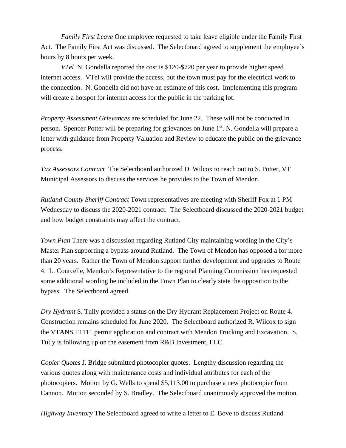*Family First Leave* One employee requested to take leave eligible under the Family First Act. The Family First Act was discussed. The Selectboard agreed to supplement the employee's hours by 8 hours per week.

*VTel* N. Gondella reported the cost is \$120-\$720 per year to provide higher speed internet access. VTel will provide the access, but the town must pay for the electrical work to the connection. N. Gondella did not have an estimate of this cost. Implementing this program will create a hotspot for internet access for the public in the parking lot.

*Property Assessment Grievances* are scheduled for June 22. These will not be conducted in person. Spencer Potter will be preparing for grievances on June 1<sup>st</sup>. N. Gondella will prepare a letter with guidance from Property Valuation and Review to educate the public on the grievance process.

*Tax Assessors Contract* The Selectboard authorized D. Wilcox to reach out to S. Potter, VT Municipal Assessors to discuss the services he provides to the Town of Mendon.

*Rutland County Sheriff Contract* Town representatives are meeting with Sheriff Fox at 1 PM Wednesday to discuss the 2020-2021 contract. The Selectboard discussed the 2020-2021 budget and how budget constraints may affect the contract.

*Town Plan* There was a discussion regarding Rutland City maintaining wording in the City's Master Plan supporting a bypass around Rutland. The Town of Mendon has opposed a for more than 20 years. Rather the Town of Mendon support further development and upgrades to Route 4. L. Courcelle, Mendon's Representative to the regional Planning Commission has requested some additional wording be included in the Town Plan to clearly state the opposition to the bypass. The Selectboard agreed.

*Dry Hydrant* S. Tully provided a status on the Dry Hydrant Replacement Project on Route 4. Construction remains scheduled for June 2020. The Selectboard authorized R. Wilcox to sign the VTANS T1111 permit application and contract with Mendon Trucking and Excavation. S, Tully is following up on the easement from R&B Investment, LLC.

*Copier Quotes* J. Bridge submitted photocopier quotes. Lengthy discussion regarding the various quotes along with maintenance costs and individual attributes for each of the photocopiers. Motion by G. Wells to spend \$5,113.00 to purchase a new photocopier from Cannon. Motion seconded by S. Bradley. The Selectboard unanimously approved the motion.

*Highway Inventory* The Selectboard agreed to write a letter to E. Bove to discuss Rutland